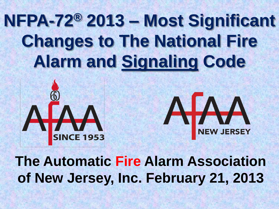### **NFPA-72® 2013 – Most Significant Changes to The National Fire Alarm and Signaling Code**





**of New Jersey, Inc. February 21, 2013**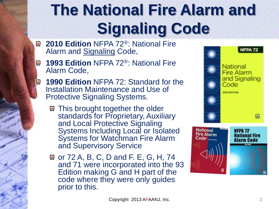### **The National Fire Alarm and Signaling Code**

- **2010 Edition** NFPA 72®: National Fire  $\bullet$ Alarm and Signaling Code,
- **1993 Edition** NFPA 72®: National Fire  $\blacksquare$ Alarm Code,

 $\left| \bigoplus_{\mathbf{k} \in \mathbb{N}^*} \right|$ 

- **1990 Edition** NFPA 72: Standard for the Installation Maintenance and Use of Protective Signaling Systems.
	- This brought together the older standards for Proprietary, Auxiliary and Local Protective Signaling Systems Including Local or Isolated Systems for Watchman Fire Alarm and Supervisory Service
	- **a** or 72 A, B, C, D and F. E, G, H, 74 and 71 were incorporated into the 93 Edition making G and H part of the code where they were only guides prior to this.



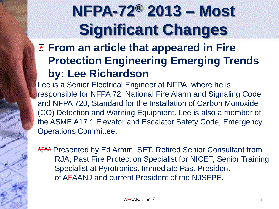### **NFPA-72® 2013 – Most Significant Changes**

**From an article that appeared in Fire Protection Engineering Emerging Trends by: Lee Richardson**

Lee is a Senior Electrical Engineer at NFPA, where he is responsible for NFPA 72, National Fire Alarm and Signaling Code; and NFPA 720, Standard for the Installation of Carbon Monoxide (CO) Detection and Warning Equipment. Lee is also a member of the ASME A17.1 Elevator and Escalator Safety Code, Emergency Operations Committee.

A<sub>T</sub><sup>AA</sup> Presented by Ed Armm, SET. Retired Senior Consultant from RJA, Past Fire Protection Specialist for NICET, Senior Training Specialist at Pyrotronics. Immediate Past President of AFAANJ and current President of the NJSFPE.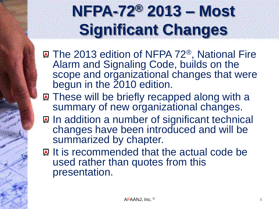### **NFPA-72® 2013 – Most Significant Changes**

- **The 2013 edition of NFPA 72<sup>®</sup>, National Fire** Alarm and Signaling Code, builds on the scope and organizational changes that were begun in the 2010 edition.
- **R** These will be briefly recapped along with a summary of new organizational changes.
- In addition a number of significant technical changes have been introduced and will be summarized by chapter.
- **Q It is recommended that the actual code be** used rather than quotes from this presentation.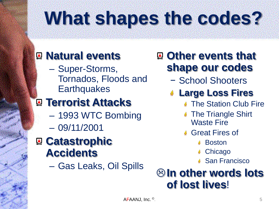## **What shapes the codes?**

### **Natural events**

– Super-Storms, Tornados, Floods and **Earthquakes** 

### **Terrorist Attacks**

- 1993 WTC Bombing
- 09/11/2001

### **Q** Catastrophic **Accidents**

– Gas Leaks, Oil Spills

### **A** Other events that **shape our codes**

- − School Shooters
- **Large Loss Fires**
	- **The Station Club Fire**
	- **# The Triangle Shirt** Waste Fire
	- Great Fires of
		- Boston
		- **Chicago**
		- San Francisco

### **In other words lots of lost lives**!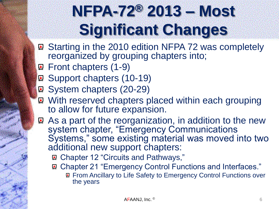### **NFPA-72® 2013 – Most Significant Changes**

- ® Starting in the 2010 edition NFPA 72 was completely reorganized by grouping chapters into;
- **Q** Front chapters (1-9)
- Support chapters (10-19)
- **Q System chapters (20-29)**
- With reserved chapters placed within each grouping to allow for future expansion.
- **As a part of the reorganization, in addition to the new** system chapter, "Emergency Communications Systems," some existing material was moved into two additional new support chapters:
	- Chapter 12 "Circuits and Pathways,"
	- **R** Chapter 21 "Emergency Control Functions and Interfaces." **R** From Ancillary to Life Safety to Emergency Control Functions over the years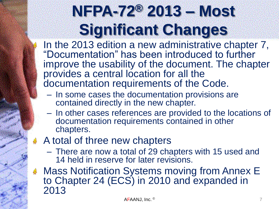### **NFPA-72® 2013 – Most Significant Changes**

In the 2013 edition a new administrative chapter 7, "Documentation" has been introduced to further improve the usability of the document. The chapter provides a central location for all the documentation requirements of the Code.

- In some cases the documentation provisions are contained directly in the new chapter.
- In other cases references are provided to the locations of documentation requirements contained in other chapters.

#### A total of three new chapters

- There are now a total of 29 chapters with 15 used and 14 held in reserve for later revisions.
- ↓ Mass Notification Systems moving from Annex E to Chapter 24 (ECS) in 2010 and expanded in 2013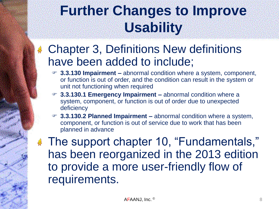### **Further Changes to Improve Usability**

### **4 Chapter 3, Definitions New definitions** have been added to include;

- **3.3.130 Impairment –** abnormal condition where a system, component, or function is out of order, and the condition can result in the system or unit not functioning when required
- **3.3.130.1 Emergency Impairment –** abnormal condition where a system, component, or function is out of order due to unexpected deficiency
- **3.3.130.2 Planned Impairment –** abnormal condition where a system, component, or function is out of service due to work that has been planned in advance

**The support chapter 10, "Fundamentals,"** has been reorganized in the 2013 edition to provide a more user-friendly flow of requirements.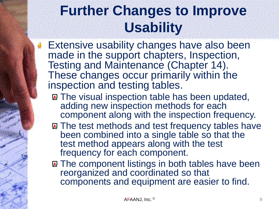### **Further Changes to Improve Usability**

- **Extensive usability changes have also been** made in the support chapters, Inspection, Testing and Maintenance (Chapter 14). These changes occur primarily within the inspection and testing tables.
	- **The visual inspection table has been updated,** adding new inspection methods for each component along with the inspection frequency.
	- **A. The test methods and test frequency tables have** been combined into a single table so that the test method appears along with the test frequency for each component.
	- **E.** The component listings in both tables have been reorganized and coordinated so that components and equipment are easier to find.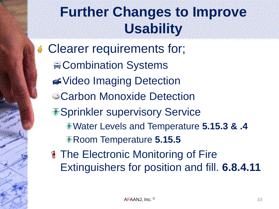### **Further Changes to Improve Usability**

**Clearer requirements for; <sub>■</sub>Combination Systems** Video Imaging Detection **Carbon Monoxide Detection** *\*Sprinkler supervisory Service* Water Levels and Temperature **5.15.3 & .4** Room Temperature **5.15.5**

**The Electronic Monitoring of Fire** Extinguishers for position and fill. **6.8.4.11**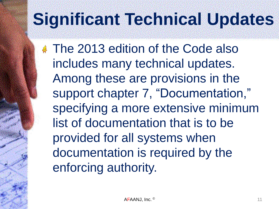**The 2013 edition of the Code also** includes many technical updates. Among these are provisions in the support chapter 7, "Documentation," specifying a more extensive minimum list of documentation that is to be provided for all systems when documentation is required by the enforcing authority.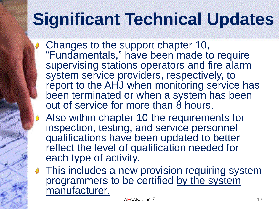- Changes to the support chapter 10, "Fundamentals," have been made to require supervising stations operators and fire alarm system service providers, respectively, to report to the AHJ when monitoring service has been terminated or when a system has been out of service for more than 8 hours.
- Also within chapter 10 the requirements for inspection, testing, and service personnel qualifications have been updated to better reflect the level of qualification needed for each type of activity.
- **# This includes a new provision requiring system** programmers to be certified by the system manufacturer.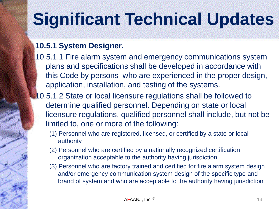#### **10.5.1 System Designer.**

- 10.5.1.1 Fire alarm system and emergency communications system plans and specifications shall be developed in accordance with this Code by persons who are experienced in the proper design, application, installation, and testing of the systems.
- 10.5.1.2 State or local licensure regulations shall be followed to determine qualified personnel. Depending on state or local licensure regulations, qualified personnel shall include, but not be limited to, one or more of the following:
	- (1) Personnel who are registered, licensed, or certified by a state or local authority
	- (2) Personnel who are certified by a nationally recognized certification organization acceptable to the authority having jurisdiction
	- (3) Personnel who are factory trained and certified for fire alarm system design and/or emergency communication system design of the specific type and brand of system and who are acceptable to the authority having jurisdiction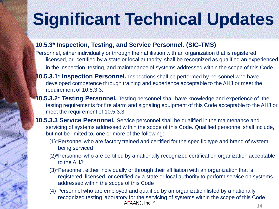#### **10.5.3\* Inspection, Testing, and Service Personnel. (SIG-TMS)**

- Personnel, either individually or through their affiliation with an organization that is registered, licensed, or certified by a state or local authority, shall be recognized as qualified an experienced in the inspection, testing, and maintenance of systems addressed within the scope of this Code.
- **0.5.3.1\* Inspection Personnel.** Inspections shall be performed by personnel who have developed competence through training and experience acceptable to the AHJ or meet the requirement of 10.5.3.3.
- **10.5.3.2\* Testing Personnel.** Testing personnel shall have knowledge and experience of the testing requirements for fire alarm and signaling equipment of this Code acceptable to the AHJ or meet the requirement of 10.5.3.3.
- **10.5.3.3 Service Personnel.** Service personnel shall be qualified in the maintenance and servicing of systems addressed within the scope of this Code. Qualified personnel shall include, but not be limited to, one or more of the following:
	- (1)\*Personnel who are factory trained and certified for the specific type and brand of system being serviced
	- (2)\*Personnel who are certified by a nationally recognized certification organization acceptable to the AHJ
	- (3)\*Personnel, either individually or through their affiliation with an organization that is registered, licensed, or certified by a state or local authority to perform service on systems addressed within the scope of this Code
	- (4) Personnel who are employed and qualified by an organization listed by a nationally recognized testing laboratory for the servicing of systems within the scope of this Code  $AFAANJ, Inc. <sup>©</sup>$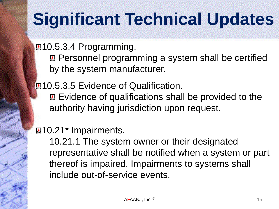®10.5.3.4 Programming.

**R** Personnel programming a system shall be certified by the system manufacturer.

**210.5.3.5 Evidence of Qualification.** 

**Example 10 Follow Evidence of qualifications shall be provided to the** authority having jurisdiction upon request.

#### **210.21\*** Impairments.

10.21.1 The system owner or their designated representative shall be notified when a system or part thereof is impaired. Impairments to systems shall include out-of-service events.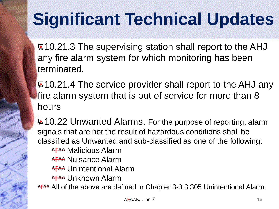**21.3 The supervising station shall report to the AHJ** any fire alarm system for which monitoring has been terminated.

**21.4 The service provider shall report to the AHJ any** fire alarm system that is out of service for more than 8 hours

10.22 Unwanted Alarms. For the purpose of reporting, alarm signals that are not the result of hazardous conditions shall be classified as Unwanted and sub-classified as one of the following: AFAA Malicious Alarm AFAA Nuisance Alarm A<sub>T</sub><sub>AA</sub> Unintentional Alarm AFAA Unknown Alarm AFAA All of the above are defined in Chapter 3-3.3.305 Unintentional Alarm.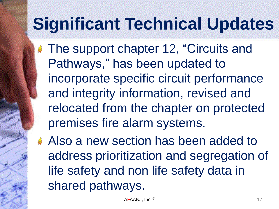**The support chapter 12, "Circuits and** Pathways," has been updated to incorporate specific circuit performance and integrity information, revised and relocated from the chapter on protected premises fire alarm systems.

Also a new section has been added to address prioritization and segregation of life safety and non life safety data in shared pathways.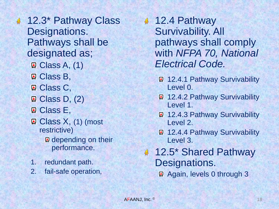- 12.3\* Pathway Class 寡 Designations. Pathways shall be designated as;  $\mathbb{Q}$  Class A, (1) **Q** Class B, **Q** Class C, Q Class D, (2) **Q** Class E, ■ Class X, (1) (most restrictive) **Q** depending on their performance.
	- 1. redundant path.
	- 2. fail-safe operation,

12.4 Pathway Survivability. All pathways shall comply with *NFPA 70, National Electrical Code.*

- **2.4.1 Pathway Survivability** Level 0.
- **2.4.2 Pathway Survivability** Level 1.
- **Q 12.4.3 Pathway Survivability** Level 2.
- **2.4.4 Pathway Survivability** Level 3.
- 12.5\* Shared Pathway Designations.

Again, levels 0 through 3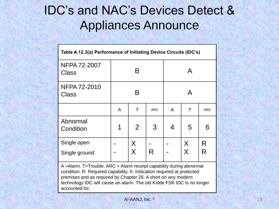### IDC's and NAC's Devices Detect & Appliances Announce

| Table A.12.3(a) Performance of Initiating Device Circuits (IDC's) |   |        |            |   |                              |            |  |  |
|-------------------------------------------------------------------|---|--------|------------|---|------------------------------|------------|--|--|
| <b>NFPA 72-2007</b><br><b>Class</b>                               |   | B      |            | A |                              |            |  |  |
| <b>NFPA 72-2010</b><br><b>Class</b>                               |   | B      |            | A |                              |            |  |  |
|                                                                   | A | Τ      | <b>ARC</b> | A | T                            | <b>ARC</b> |  |  |
| Abnormal<br>Condition                                             | 1 | 2      | 3          | 4 | 5                            | 6          |  |  |
| Single open<br>Single ground                                      |   | X<br>X | R          |   | X<br>$\overline{\mathsf{X}}$ | R<br>R     |  |  |

A =Alarm. T=Trouble. ARC = Alarm receipt capability during abnormal condition. R: Required capability. X: Indication required at protected premises and as required by Chapter 26. A short on any modern technology IDC will cause an alarm. The old Kidde FSK IDC is no longer accounted for.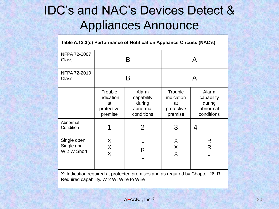### IDC's and NAC's Devices Detect & Appliances Announce

| Table A.12.3(c) Performance of Notification Appliance Circuits (NAC's)         |                                                      |                                                         |                                                      |                                                         |  |  |  |
|--------------------------------------------------------------------------------|------------------------------------------------------|---------------------------------------------------------|------------------------------------------------------|---------------------------------------------------------|--|--|--|
| NFPA 72-2007<br>Class                                                          |                                                      | B                                                       | A                                                    |                                                         |  |  |  |
| NFPA 72-2010<br><b>Class</b>                                                   |                                                      | B                                                       | А                                                    |                                                         |  |  |  |
|                                                                                | Trouble<br>indication<br>at<br>protective<br>premise | Alarm<br>capability<br>during<br>abnormal<br>conditions | Trouble<br>indication<br>at<br>protective<br>premise | Alarm<br>capability<br>during<br>abnormal<br>conditions |  |  |  |
| Abnormal<br>Condition                                                          |                                                      | $\overline{2}$                                          | 3                                                    | 4                                                       |  |  |  |
| Single open<br>Single gnd.<br>W 2 W Short                                      | $\sf X$<br>X<br>X                                    | R                                                       | X<br>$\sf X$<br>$\sf X$                              | R<br>R                                                  |  |  |  |
| X: Indication required at protected premises and as required by Chapter 26. R: |                                                      |                                                         |                                                      |                                                         |  |  |  |

Required capability. W 2 W: Wire to Wire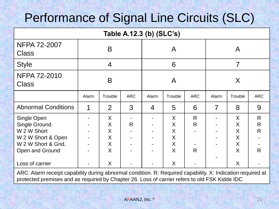### Performance of Signal Line Circuits (SLC)

| Table A.12.3 (b) (SLC's)                                                                                          |                |                            |            |       |                                        |                |       |                                  |                  |
|-------------------------------------------------------------------------------------------------------------------|----------------|----------------------------|------------|-------|----------------------------------------|----------------|-------|----------------------------------|------------------|
| NFPA 72-2007<br><b>Class</b>                                                                                      | B              |                            |            | A     |                                        |                | A     |                                  |                  |
| <b>Style</b>                                                                                                      | $\overline{4}$ |                            |            | 6     |                                        |                | 7     |                                  |                  |
| <b>NFPA 72-2010</b><br><b>Class</b>                                                                               | B              |                            |            | A     |                                        |                | X     |                                  |                  |
|                                                                                                                   | Alarm          | Trouble                    | <b>ARC</b> | Alarm | Trouble                                | <b>ARC</b>     | Alarm | Trouble                          | <b>ARC</b>       |
| <b>Abnormal Conditions</b>                                                                                        |                | 2                          | 3          | 4     | 5                                      | 6              | 7     | 8                                | 9                |
| Single Open<br><b>Single Ground</b><br>W 2 W Short<br>W 2 W Short & Open<br>W 2 W Short & Gnd.<br>Open and Ground |                | X<br>X<br>X<br>X<br>X<br>X | R          |       | X<br>X<br>X<br>X<br>$\sf X$<br>$\sf X$ | R.<br>R.<br>R. |       | X<br>X<br>X<br>X<br>X<br>$\sf X$ | R<br>R<br>R<br>R |
| Loss of carrier                                                                                                   |                | X                          |            |       | X                                      |                |       | X                                |                  |

ARC: Alarm receipt capability during abnormal condition. R: Required capability. X: Indication required at protected premises and as required by Chapter 26. Loss of carrier refers to old FSK Kidde IDC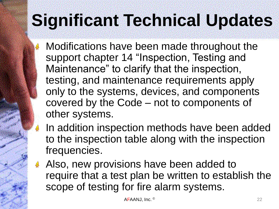Modifications have been made throughout the support chapter 14 "Inspection, Testing and Maintenance" to clarify that the inspection, testing, and maintenance requirements apply only to the systems, devices, and components covered by the Code – not to components of other systems.

- In addition inspection methods have been added to the inspection table along with the inspection frequencies.
- Also, new provisions have been added to require that a test plan be written to establish the scope of testing for fire alarm systems.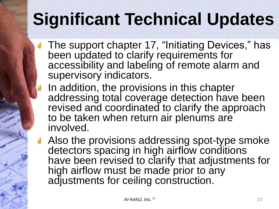導

- The support chapter 17, "Initiating Devices," has been updated to clarify requirements for accessibility and labeling of remote alarm and supervisory indicators.
- In addition, the provisions in this chapter addressing total coverage detection have been revised and coordinated to clarify the approach to be taken when return air plenums are involved.
- Also the provisions addressing spot-type smoke detectors spacing in high airflow conditions have been revised to clarify that adjustments for high airflow must be made prior to any adjustments for ceiling construction.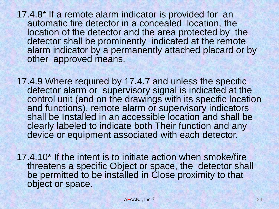17.4.8\* If a remote alarm indicator is provided for an automatic fire detector in a concealed location, the location of the detector and the area protected by the detector shall be prominently indicated at the remote alarm indicator by a permanently attached placard or by other approved means.

17.4.9 Where required by 17.4.7 and unless the specific detector alarm or supervisory signal is indicated at the control unit (and on the drawings with its specific location and functions), remote alarm or supervisory indicators shall be Installed in an accessible location and shall be clearly labeled to indicate both Their function and any device or equipment associated with each detector.

17.4.10\* If the intent is to initiate action when smoke/fire threatens a specific Object or space, the detector shall be permitted to be installed in Close proximity to that object or space.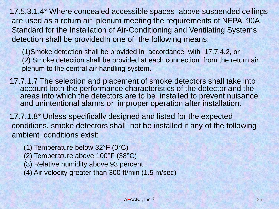17.5.3.1.4\* Where concealed accessible spaces above suspended ceilings are used as a return air plenum meeting the requirements of NFPA 90A, Standard for the Installation of Air-Conditioning and Ventilating Systems, detection shall be providedIn one of the following means:

(1)Smoke detection shall be provided in accordance with 17.7.4.2, or (2) Smoke detection shall be provided at each connection from the return air plenum to the central air-handling system.

17.7.1.7 The selection and placement of smoke detectors shall take into account both the performance characteristics of the detector and the areas into which the detectors are to be installed to prevent nuisance and unintentional alarms or improper operation after installation.

17.7.1.8\* Unless specifically designed and listed for the expected conditions, smoke detectors shall not be installed if any of the following ambient conditions exist:

- (1) Temperature below 32°F (0°C)
- (2) Temperature above 100°F (38°C)
- (3) Relative humidity above 93 percent

(4) Air velocity greater than 300 ft/min (1.5 m/sec)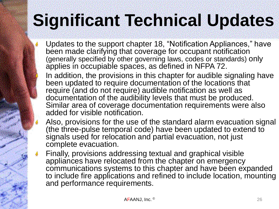- Updates to the support chapter 18, "Notification Appliances," have been made clarifying that coverage for occupant notification (generally specified by other governing laws, codes or standards) only applies in occupiable spaces, as defined in NFPA 72.
- In addition, the provisions in this chapter for audible signaling have been updated to require documentation of the locations that require (and do not require) audible notification as well as documentation of the audibility levels that must be produced. Similar area of coverage documentation requirements were also added for visible notification.
- Also, provisions for the use of the standard alarm evacuation signal (the three-pulse temporal code) have been updated to extend to signals used for relocation and partial evacuation, not just complete evacuation.
- Finally, provisions addressing textual and graphical visible appliances have relocated from the chapter on emergency communications systems to this chapter and have been expanded to include fire applications and refined to include location, mounting and performance requirements.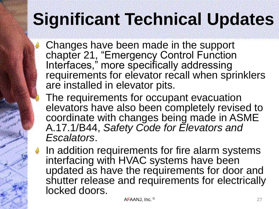Changes have been made in the support chapter 21, "Emergency Control Function Interfaces," more specifically addressing requirements for elevator recall when sprinklers are installed in elevator pits.

- The requirements for occupant evacuation elevators have also been completely revised to coordinate with changes being made in ASME A.17.1/B44, *Safety Code for Elevators and Escalators*.
- $\bullet$  In addition requirements for fire alarm systems interfacing with HVAC systems have been updated as have the requirements for door and shutter release and requirements for electrically locked doors.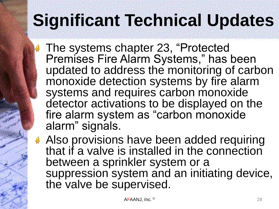The systems chapter 23, "Protected Premises Fire Alarm Systems," has been updated to address the monitoring of carbon monoxide detection systems by fire alarm systems and requires carbon monoxide detector activations to be displayed on the fire alarm system as "carbon monoxide alarm" signals.

Also provisions have been added requiring that if a valve is installed in the connection between a sprinkler system or a suppression system and an initiating device, the valve be supervised.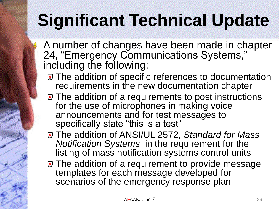A number of changes have been made in chapter 24, "Emergency Communications Systems," including the following:

- **E** The addition of specific references to documentation requirements in the new documentation chapter
- **E** The addition of a requirements to post instructions for the use of microphones in making voice announcements and for test messages to specifically state "this is a test"
- The addition of ANSI/UL 2572, *Standard for Mass Notification Systems* in the requirement for the listing of mass notification systems control units
- **The addition of a requirement to provide message** templates for each message developed for scenarios of the emergency response plan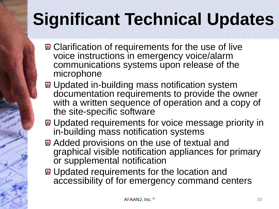- **Q.** Clarification of requirements for the use of live voice instructions in emergency voice/alarm communications systems upon release of the microphone
- **E.** Updated in-building mass notification system documentation requirements to provide the owner with a written sequence of operation and a copy of the site-specific software
- **E.** Updated requirements for voice message priority in in-building mass notification systems
- **Added provisions on the use of textual and** graphical visible notification appliances for primary or supplemental notification
- Updated requirements for the location and accessibility of for emergency command centers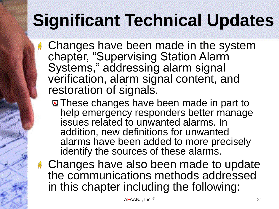Changes have been made in the system chapter, "Supervising Station Alarm Systems," addressing alarm signal verification, alarm signal content, and restoration of signals.

- **E** These changes have been made in part to help emergency responders better manage issues related to unwanted alarms. In addition, new definitions for unwanted alarms have been added to more precisely identify the sources of these alarms.
- **Example 2** Changes have also been made to update the communications methods addressed in this chapter including the following: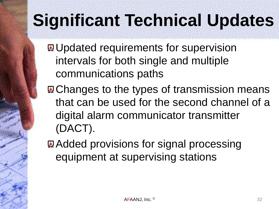**E.** Updated requirements for supervision intervals for both single and multiple communications paths

**E.** Changes to the types of transmission means that can be used for the second channel of a digital alarm communicator transmitter (DACT).

**Added provisions for signal processing** equipment at supervising stations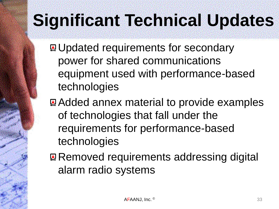**E.** Updated requirements for secondary power for shared communications equipment used with performance-based technologies

**Added annex material to provide examples** of technologies that fall under the requirements for performance-based technologies

**Removed requirements addressing digital** alarm radio systems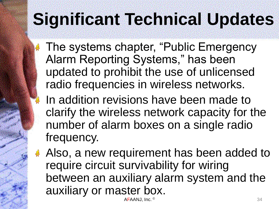The systems chapter, "Public Emergency Alarm Reporting Systems," has been updated to prohibit the use of unlicensed radio frequencies in wireless networks.

- In addition revisions have been made to clarify the wireless network capacity for the number of alarm boxes on a single radio frequency.
- Also, a new requirement has been added to require circuit survivability for wiring between an auxiliary alarm system and the auxiliary or master box.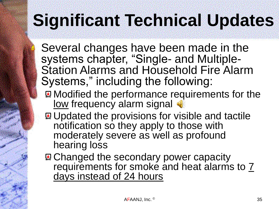Several changes have been made in the systems chapter, "Single- and Multiple-Station Alarms and Household Fire Alarm Systems," including the following:

- **Modified the performance requirements for the** low frequency alarm signal
- **E.** Updated the provisions for visible and tactile notification so they apply to those with moderately severe as well as profound hearing loss
- **Q Changed the secondary power capacity** requirements for smoke and heat alarms to  $\overline{7}$ days instead of 24 hours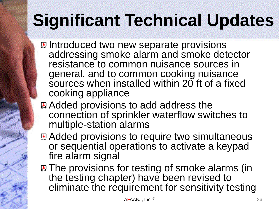- **E** Introduced two new separate provisions addressing smoke alarm and smoke detector resistance to common nuisance sources in general, and to common cooking nuisance sources when installed within 20 ft of a fixed cooking appliance
- **Added provisions to add address the** connection of sprinkler waterflow switches to multiple-station alarms
- **Added provisions to require two simultaneous** or sequential operations to activate a keypad fire alarm signal
- **A. The provisions for testing of smoke alarms (in** the testing chapter) have been revised to eliminate the requirement for sensitivity testing